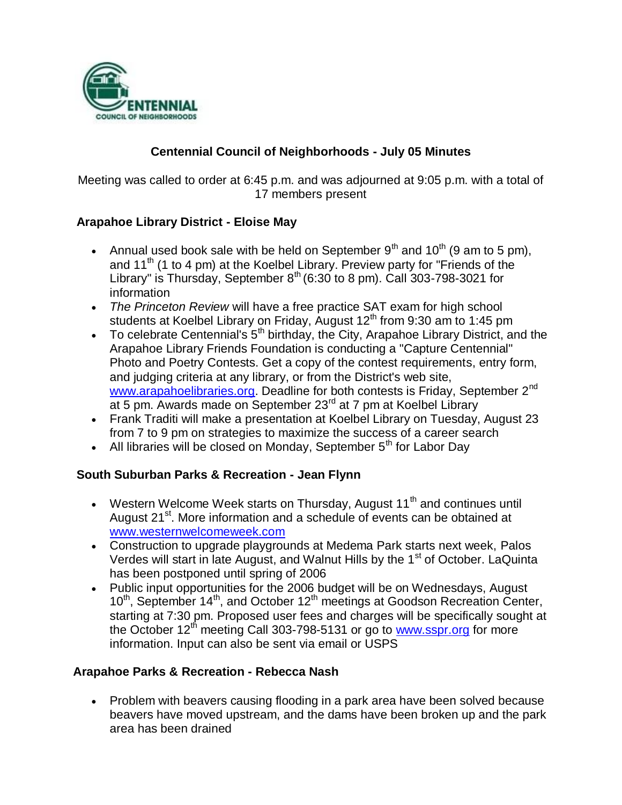

# **Centennial Council of Neighborhoods - July 05 Minutes**

Meeting was called to order at 6:45 p.m. and was adjourned at 9:05 p.m. with a total of 17 members present

# **Arapahoe Library District - Eloise May**

- Annual used book sale with be held on September  $9<sup>th</sup>$  and  $10<sup>th</sup>$  (9 am to 5 pm), and 11<sup>th</sup> (1 to 4 pm) at the Koelbel Library. Preview party for "Friends of the Library" is Thursday, September  $8^{th}$  (6:30 to 8 pm). Call 303-798-3021 for information
- *The Princeton Review* will have a free practice SAT exam for high school students at Koelbel Library on Friday, August  $12<sup>th</sup>$  from 9:30 am to 1:45 pm
- To celebrate Centennial's  $5<sup>th</sup>$  birthday, the City, Arapahoe Library District, and the Arapahoe Library Friends Foundation is conducting a "Capture Centennial" Photo and Poetry Contests. Get a copy of the contest requirements, entry form, and judging criteria at any library, or from the District's web site, www.arapahoelibraries.org. Deadline for both contests is Friday, September 2<sup>nd</sup> at 5 pm. Awards made on September 23<sup>rd</sup> at 7 pm at Koelbel Library
- Frank Traditi will make a presentation at Koelbel Library on Tuesday, August 23 from 7 to 9 pm on strategies to maximize the success of a career search
- All libraries will be closed on Monday, September  $5<sup>th</sup>$  for Labor Day

### **South Suburban Parks & Recreation - Jean Flynn**

- Western Welcome Week starts on Thursday, August 11<sup>th</sup> and continues until August 21<sup>st</sup>. More information and a schedule of events can be obtained at www.westernwelcomeweek.com
- Construction to upgrade playgrounds at Medema Park starts next week, Palos Verdes will start in late August, and Walnut Hills by the 1<sup>st</sup> of October. LaQuinta has been postponed until spring of 2006
- Public input opportunities for the 2006 budget will be on Wednesdays, August 10<sup>th</sup>, September 14<sup>th</sup>, and October 12<sup>th</sup> meetings at Goodson Recreation Center, starting at 7:30 pm. Proposed user fees and charges will be specifically sought at the October  $12<sup>th</sup>$  meeting Call 303-798-5131 or go to www.sspr.org for more information. Input can also be sent via email or USPS

### **Arapahoe Parks & Recreation - Rebecca Nash**

• Problem with beavers causing flooding in a park area have been solved because beavers have moved upstream, and the dams have been broken up and the park area has been drained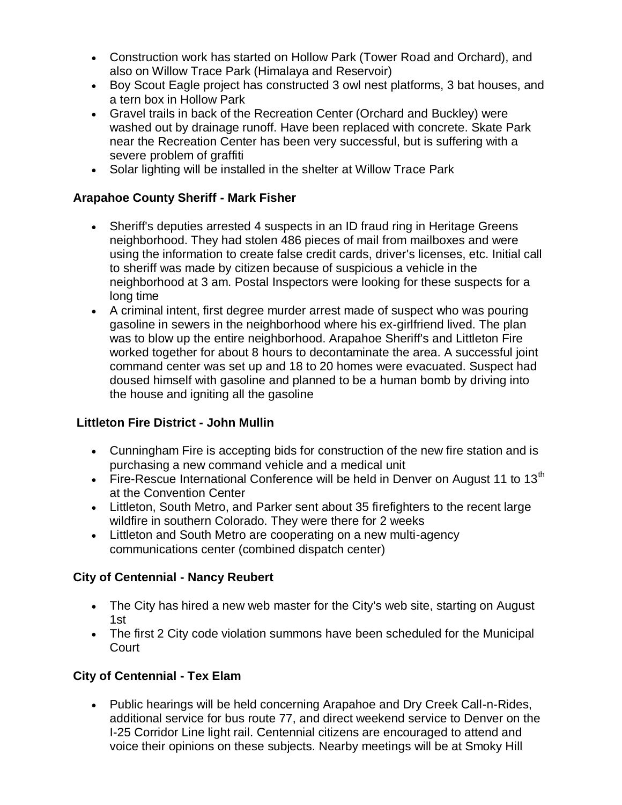- Construction work has started on Hollow Park (Tower Road and Orchard), and also on Willow Trace Park (Himalaya and Reservoir)
- Boy Scout Eagle project has constructed 3 owl nest platforms, 3 bat houses, and a tern box in Hollow Park
- Gravel trails in back of the Recreation Center (Orchard and Buckley) were washed out by drainage runoff. Have been replaced with concrete. Skate Park near the Recreation Center has been very successful, but is suffering with a severe problem of graffiti
- Solar lighting will be installed in the shelter at Willow Trace Park

### **Arapahoe County Sheriff - Mark Fisher**

- Sheriff's deputies arrested 4 suspects in an ID fraud ring in Heritage Greens neighborhood. They had stolen 486 pieces of mail from mailboxes and were using the information to create false credit cards, driver's licenses, etc. Initial call to sheriff was made by citizen because of suspicious a vehicle in the neighborhood at 3 am. Postal Inspectors were looking for these suspects for a long time
- A criminal intent, first degree murder arrest made of suspect who was pouring gasoline in sewers in the neighborhood where his ex-girlfriend lived. The plan was to blow up the entire neighborhood. Arapahoe Sheriff's and Littleton Fire worked together for about 8 hours to decontaminate the area. A successful joint command center was set up and 18 to 20 homes were evacuated. Suspect had doused himself with gasoline and planned to be a human bomb by driving into the house and igniting all the gasoline

### **Littleton Fire District - John Mullin**

- Cunningham Fire is accepting bids for construction of the new fire station and is purchasing a new command vehicle and a medical unit
- Fire-Rescue International Conference will be held in Denver on August 11 to 13<sup>th</sup> at the Convention Center
- Littleton, South Metro, and Parker sent about 35 firefighters to the recent large wildfire in southern Colorado. They were there for 2 weeks
- Littleton and South Metro are cooperating on a new multi-agency communications center (combined dispatch center)

### **City of Centennial - Nancy Reubert**

- The City has hired a new web master for the City's web site, starting on August 1st
- The first 2 City code violation summons have been scheduled for the Municipal **Court**

# **City of Centennial - Tex Elam**

 Public hearings will be held concerning Arapahoe and Dry Creek Call-n-Rides, additional service for bus route 77, and direct weekend service to Denver on the I-25 Corridor Line light rail. Centennial citizens are encouraged to attend and voice their opinions on these subjects. Nearby meetings will be at Smoky Hill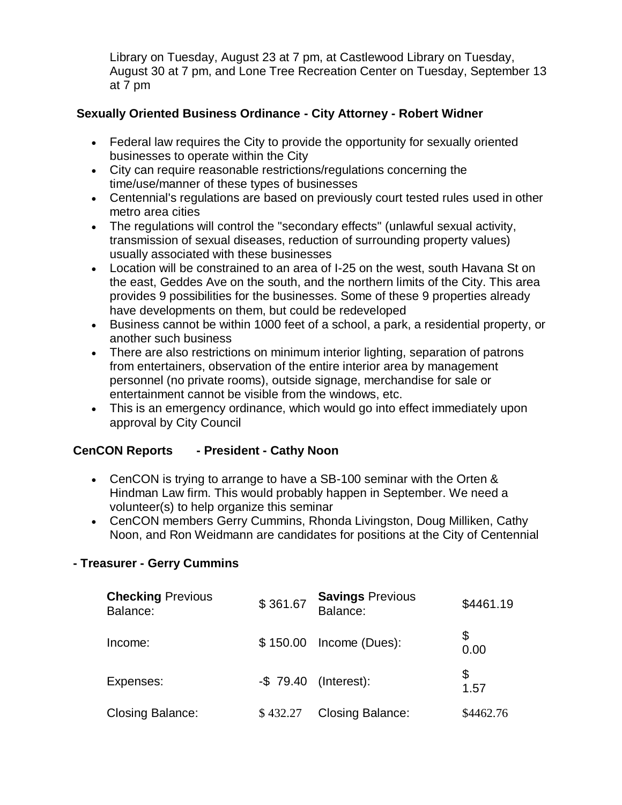Library on Tuesday, August 23 at 7 pm, at Castlewood Library on Tuesday, August 30 at 7 pm, and Lone Tree Recreation Center on Tuesday, September 13 at 7 pm

# **Sexually Oriented Business Ordinance - City Attorney - Robert Widner**

- Federal law requires the City to provide the opportunity for sexually oriented businesses to operate within the City
- City can require reasonable restrictions/regulations concerning the time/use/manner of these types of businesses
- Centennial's regulations are based on previously court tested rules used in other metro area cities
- The regulations will control the "secondary effects" (unlawful sexual activity, transmission of sexual diseases, reduction of surrounding property values) usually associated with these businesses
- Location will be constrained to an area of I-25 on the west, south Havana St on the east, Geddes Ave on the south, and the northern limits of the City. This area provides 9 possibilities for the businesses. Some of these 9 properties already have developments on them, but could be redeveloped
- Business cannot be within 1000 feet of a school, a park, a residential property, or another such business
- There are also restrictions on minimum interior lighting, separation of patrons from entertainers, observation of the entire interior area by management personnel (no private rooms), outside signage, merchandise for sale or entertainment cannot be visible from the windows, etc.
- This is an emergency ordinance, which would go into effect immediately upon approval by City Council

# **CenCON Reports - President - Cathy Noon**

- CenCON is trying to arrange to have a SB-100 seminar with the Orten & Hindman Law firm. This would probably happen in September. We need a volunteer(s) to help organize this seminar
- CenCON members Gerry Cummins, Rhonda Livingston, Doug Milliken, Cathy Noon, and Ron Weidmann are candidates for positions at the City of Centennial

### **- Treasurer - Gerry Cummins**

| <b>Checking Previous</b><br>Balance: | \$361.67 | <b>Savings Previous</b><br>Balance: | \$4461.19  |
|--------------------------------------|----------|-------------------------------------|------------|
| Income:                              |          | \$150.00 Income (Dues):             | \$<br>0.00 |
| Expenses:                            |          | $-$ \$ 79.40 (Interest):            | \$<br>1.57 |
| <b>Closing Balance:</b>              | \$432.27 | <b>Closing Balance:</b>             | \$4462.76  |